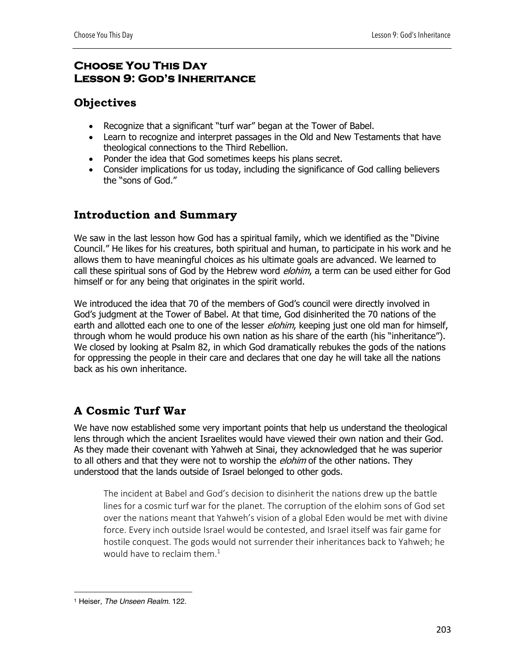## **Choose You This Day Lesson 9: God's Inheritance**

# **Objectives**

- Recognize that a significant "turf war" began at the Tower of Babel.
- Learn to recognize and interpret passages in the Old and New Testaments that have theological connections to the Third Rebellion.
- Ponder the idea that God sometimes keeps his plans secret.
- Consider implications for us today, including the significance of God calling believers the "sons of God."

# **Introduction and Summary**

We saw in the last lesson how God has a spiritual family, which we identified as the "Divine Council." He likes for his creatures, both spiritual and human, to participate in his work and he allows them to have meaningful choices as his ultimate goals are advanced. We learned to call these spiritual sons of God by the Hebrew word *elohim*, a term can be used either for God himself or for any being that originates in the spirit world.

We introduced the idea that 70 of the members of God's council were directly involved in God's judgment at the Tower of Babel. At that time, God disinherited the 70 nations of the earth and allotted each one to one of the lesser *elohim*, keeping just one old man for himself, through whom he would produce his own nation as his share of the earth (his "inheritance"). We closed by looking at Psalm 82, in which God dramatically rebukes the gods of the nations for oppressing the people in their care and declares that one day he will take all the nations back as his own inheritance.

# **A Cosmic Turf War**

We have now established some very important points that help us understand the theological lens through which the ancient Israelites would have viewed their own nation and their God. As they made their covenant with Yahweh at Sinai, they acknowledged that he was superior to all others and that they were not to worship the *elohim* of the other nations. They understood that the lands outside of Israel belonged to other gods.

The incident at Babel and God's decision to disinherit the nations drew up the battle lines for a cosmic turf war for the planet. The corruption of the elohim sons of God set over the nations meant that Yahweh's vision of a global Eden would be met with divine force. Every inch outside Israel would be contested, and Israel itself was fair game for hostile conquest. The gods would not surrender their inheritances back to Yahweh; he would have to reclaim them.<sup>1</sup>

<sup>1</sup> Heiser, *The Unseen Realm.* 122.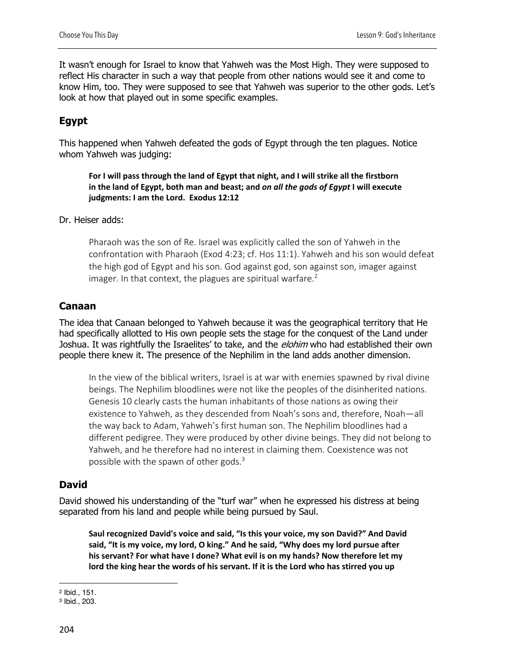It wasn't enough for Israel to know that Yahweh was the Most High. They were supposed to reflect His character in such a way that people from other nations would see it and come to know Him, too. They were supposed to see that Yahweh was superior to the other gods. Let's look at how that played out in some specific examples.

# **Egypt**

This happened when Yahweh defeated the gods of Egypt through the ten plagues. Notice whom Yahweh was judging:

**For I will pass through the land of Egypt that night, and I will strike all the firstborn in the land of Egypt, both man and beast; and** *on all the gods of Egypt* **I will execute judgments: I am the Lord. Exodus 12:12**

#### Dr. Heiser adds:

Pharaoh was the son of Re. Israel was explicitly called the son of Yahweh in the confrontation with Pharaoh (Exod 4:23; cf. Hos 11:1). Yahweh and his son would defeat the high god of Egypt and his son. God against god, son against son, imager against imager. In that context, the plagues are spiritual warfare. $2$ 

## **Canaan**

The idea that Canaan belonged to Yahweh because it was the geographical territory that He had specifically allotted to His own people sets the stage for the conquest of the Land under Joshua. It was rightfully the Israelites' to take, and the *elohim* who had established their own people there knew it. The presence of the Nephilim in the land adds another dimension.

In the view of the biblical writers, Israel is at war with enemies spawned by rival divine beings. The Nephilim bloodlines were not like the peoples of the disinherited nations. Genesis 10 clearly casts the human inhabitants of those nations as owing their existence to Yahweh, as they descended from Noah's sons and, therefore, Noah—all the way back to Adam, Yahweh's first human son. The Nephilim bloodlines had a different pedigree. They were produced by other divine beings. They did not belong to Yahweh, and he therefore had no interest in claiming them. Coexistence was not possible with the spawn of other gods. $3$ 

## **David**

David showed his understanding of the "turf war" when he expressed his distress at being separated from his land and people while being pursued by Saul.

**Saul recognized David's voice and said, "Is this your voice, my son David?" And David said, "It is my voice, my lord, O king." And he said, "Why does my lord pursue after his servant? For what have I done? What evil is on my hands? Now therefore let my lord the king hear the words of his servant. If it is the Lord who has stirred you up** 

<sup>2</sup> Ibid., 151.

<sup>3</sup> Ibid., 203.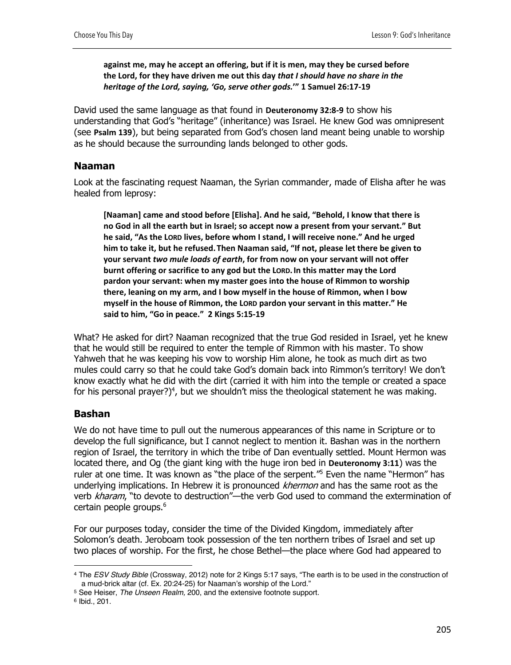**against me, may he accept an offering, but if it is men, may they be cursed before the Lord, for they have driven me out this day** *that I should have no share in the heritage of the Lord, saying, 'Go, serve other gods.***'" 1 Samuel 26:17-19**

David used the same language as that found in **Deuteronomy 32:8-9** to show his understanding that God's "heritage" (inheritance) was Israel. He knew God was omnipresent (see **Psalm 139**), but being separated from God's chosen land meant being unable to worship as he should because the surrounding lands belonged to other gods.

## **Naaman**

Look at the fascinating request Naaman, the Syrian commander, made of Elisha after he was healed from leprosy:

**[Naaman] came and stood before [Elisha]. And he said, "Behold, I know that there is no God in all the earth but in Israel; so accept now a present from your servant." But he said, "As the LORD lives, before whom I stand, I will receive none." And he urged him to take it, but he refused.Then Naaman said, "If not, please let there be given to your servant** *two mule loads of earth***, for from now on your servant will not offer burnt offering or sacrifice to any god but the LORD.In this matter may the Lord pardon your servant: when my master goes into the house of Rimmon to worship there, leaning on my arm, and I bow myself in the house of Rimmon, when I bow myself in the house of Rimmon, the LORD pardon your servant in this matter." He said to him, "Go in peace." 2 Kings 5:15-19**

What? He asked for dirt? Naaman recognized that the true God resided in Israel, yet he knew that he would still be required to enter the temple of Rimmon with his master. To show Yahweh that he was keeping his vow to worship Him alone, he took as much dirt as two mules could carry so that he could take God's domain back into Rimmon's territory! We don't know exactly what he did with the dirt (carried it with him into the temple or created a space for his personal prayer?)<sup>4</sup>, but we shouldn't miss the theological statement he was making.

## **Bashan**

We do not have time to pull out the numerous appearances of this name in Scripture or to develop the full significance, but I cannot neglect to mention it. Bashan was in the northern region of Israel, the territory in which the tribe of Dan eventually settled. Mount Hermon was located there, and Og (the giant king with the huge iron bed in **Deuteronomy 3:11**) was the ruler at one time. It was known as "the place of the serpent."<sup>5</sup> Even the name "Hermon" has underlying implications. In Hebrew it is pronounced *khermon* and has the same root as the verb kharam, "to devote to destruction"—the verb God used to command the extermination of certain people groups.<sup>6</sup>

For our purposes today, consider the time of the Divided Kingdom, immediately after Solomon's death. Jeroboam took possession of the ten northern tribes of Israel and set up two places of worship. For the first, he chose Bethel—the place where God had appeared to

<sup>4</sup> The *ESV Study Bible* (Crossway, 2012) note for 2 Kings 5:17 says, "The earth is to be used in the construction of a mud-brick altar (cf. Ex. 20:24-25) for Naaman's worship of the Lord."

<sup>5</sup> See Heiser, *The Unseen Realm,* 200, and the extensive footnote support.

<sup>6</sup> Ibid., 201.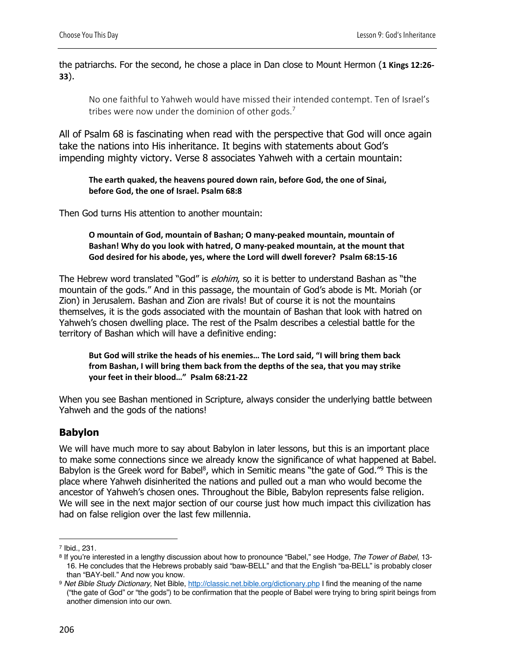the patriarchs. For the second, he chose a place in Dan close to Mount Hermon (**1 Kings 12:26- 33**).

No one faithful to Yahweh would have missed their intended contempt. Ten of Israel's tribes were now under the dominion of other gods.<sup>7</sup>

All of Psalm 68 is fascinating when read with the perspective that God will once again take the nations into His inheritance. It begins with statements about God's impending mighty victory. Verse 8 associates Yahweh with a certain mountain:

**The earth quaked, the heavens poured down rain, before God, the one of Sinai, before God, the one of Israel. Psalm 68:8**

Then God turns His attention to another mountain:

**O mountain of God, mountain of Bashan; O many-peaked mountain, mountain of Bashan! Why do you look with hatred, O many-peaked mountain, at the mount that God desired for his abode, yes, where the Lord will dwell forever? Psalm 68:15-16**

The Hebrew word translated "God" is *elohim*, so it is better to understand Bashan as "the mountain of the gods." And in this passage, the mountain of God's abode is Mt. Moriah (or Zion) in Jerusalem. Bashan and Zion are rivals! But of course it is not the mountains themselves, it is the gods associated with the mountain of Bashan that look with hatred on Yahweh's chosen dwelling place. The rest of the Psalm describes a celestial battle for the territory of Bashan which will have a definitive ending:

**But God will strike the heads of his enemies… The Lord said, "I will bring them back from Bashan, I will bring them back from the depths of the sea, that you may strike your feet in their blood…" Psalm 68:21-22**

When you see Bashan mentioned in Scripture, always consider the underlying battle between Yahweh and the gods of the nations!

## **Babylon**

We will have much more to say about Babylon in later lessons, but this is an important place to make some connections since we already know the significance of what happened at Babel. Babylon is the Greek word for Babel<sup>8</sup>, which in Semitic means "the gate of God."<sup>9</sup> This is the place where Yahweh disinherited the nations and pulled out a man who would become the ancestor of Yahweh's chosen ones. Throughout the Bible, Babylon represents false religion. We will see in the next major section of our course just how much impact this civilization has had on false religion over the last few millennia.

<sup>7</sup> Ibid., 231.

<sup>8</sup> If you're interested in a lengthy discussion about how to pronounce "Babel," see Hodge, *The Tower of Babel*, 13- 16. He concludes that the Hebrews probably said "baw-BELL" and that the English "ba-BELL" is probably closer than "BAY-bell." And now you know.

<sup>9</sup> *Net Bible Study Dictionary,* Net Bible, http://classic.net.bible.org/dictionary.php I find the meaning of the name ("the gate of God" or "the gods") to be confirmation that the people of Babel were trying to bring spirit beings from another dimension into our own.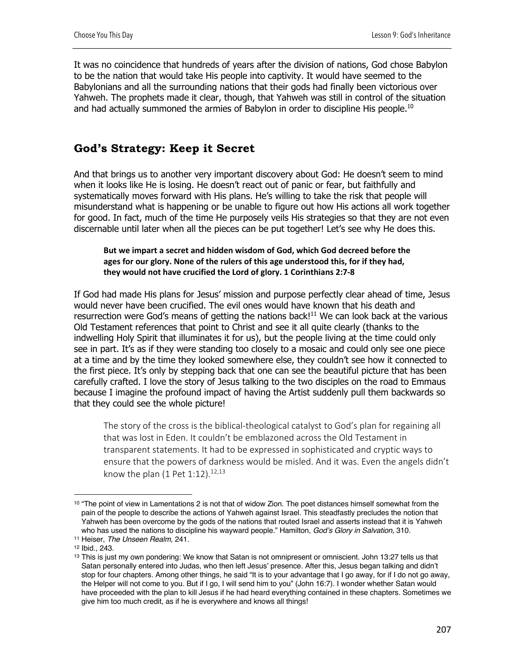It was no coincidence that hundreds of years after the division of nations, God chose Babylon to be the nation that would take His people into captivity. It would have seemed to the Babylonians and all the surrounding nations that their gods had finally been victorious over Yahweh. The prophets made it clear, though, that Yahweh was still in control of the situation and had actually summoned the armies of Babylon in order to discipline His people.<sup>10</sup>

# **God's Strategy: Keep it Secret**

And that brings us to another very important discovery about God: He doesn't seem to mind when it looks like He is losing. He doesn't react out of panic or fear, but faithfully and systematically moves forward with His plans. He's willing to take the risk that people will misunderstand what is happening or be unable to figure out how His actions all work together for good. In fact, much of the time He purposely veils His strategies so that they are not even discernable until later when all the pieces can be put together! Let's see why He does this.

#### **But we impart a secret and hidden wisdom of God, which God decreed before the ages for our glory. None of the rulers of this age understood this, for if they had, they would not have crucified the Lord of glory. 1 Corinthians 2:7-8**

If God had made His plans for Jesus' mission and purpose perfectly clear ahead of time, Jesus would never have been crucified. The evil ones would have known that his death and resurrection were God's means of getting the nations back!<sup>11</sup> We can look back at the various Old Testament references that point to Christ and see it all quite clearly (thanks to the indwelling Holy Spirit that illuminates it for us), but the people living at the time could only see in part. It's as if they were standing too closely to a mosaic and could only see one piece at a time and by the time they looked somewhere else, they couldn't see how it connected to the first piece. It's only by stepping back that one can see the beautiful picture that has been carefully crafted. I love the story of Jesus talking to the two disciples on the road to Emmaus because I imagine the profound impact of having the Artist suddenly pull them backwards so that they could see the whole picture!

The story of the cross is the biblical-theological catalyst to God's plan for regaining all that was lost in Eden. It couldn't be emblazoned across the Old Testament in transparent statements. It had to be expressed in sophisticated and cryptic ways to ensure that the powers of darkness would be misled. And it was. Even the angels didn't know the plan  $(1$  Pet  $1:12)$ .<sup>12,13</sup>

<sup>10 &</sup>quot;The point of view in Lamentations 2 is not that of widow Zion. The poet distances himself somewhat from the pain of the people to describe the actions of Yahweh against Israel. This steadfastly precludes the notion that Yahweh has been overcome by the gods of the nations that routed Israel and asserts instead that it is Yahweh who has used the nations to discipline his wayward people." Hamilton, *God's Glory in Salvation,* 310.

<sup>11</sup> Heiser, *The Unseen Realm,* 241.

<sup>12</sup> Ibid., 243.

<sup>&</sup>lt;sup>13</sup> This is just my own pondering: We know that Satan is not omnipresent or omniscient. John 13:27 tells us that Satan personally entered into Judas, who then left Jesus' presence. After this, Jesus began talking and didn't stop for four chapters. Among other things, he said "It is to your advantage that I go away, for if I do not go away, the Helper will not come to you. But if I go, I will send him to you" (John 16:7). I wonder whether Satan would have proceeded with the plan to kill Jesus if he had heard everything contained in these chapters. Sometimes we give him too much credit, as if he is everywhere and knows all things!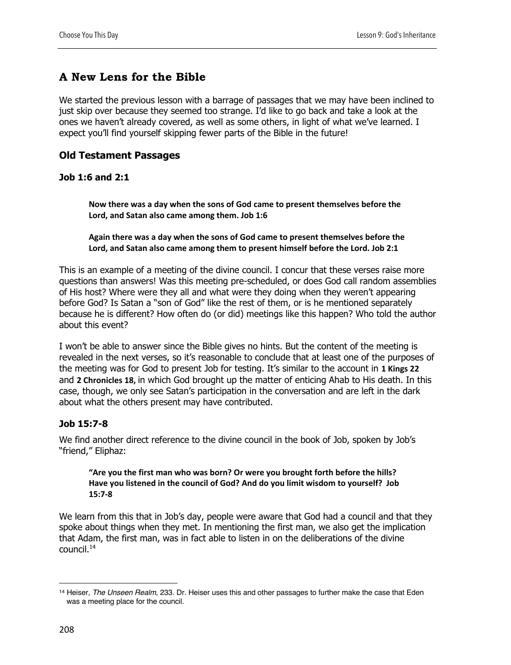# **A New Lens for the Bible**

We started the previous lesson with a barrage of passages that we may have been inclined to just skip over because they seemed too strange. I'd like to go back and take a look at the ones we haven't already covered, as well as some others, in light of what we've learned. I expect you'll find yourself skipping fewer parts of the Bible in the future!

## **Old Testament Passages**

### **Job 1:6 and 2:1**

**Now there was a day when the sons of God came to present themselves before the Lord, and Satan also came among them. Job 1:6**

**Again there was a day when the sons of God came to present themselves before the Lord, and Satan also came among them to present himself before the Lord. Job 2:1**

This is an example of a meeting of the divine council. I concur that these verses raise more questions than answers! Was this meeting pre-scheduled, or does God call random assemblies of His host? Where were they all and what were they doing when they weren't appearing before God? Is Satan a "son of God" like the rest of them, or is he mentioned separately because he is different? How often do (or did) meetings like this happen? Who told the author about this event?

I won't be able to answer since the Bible gives no hints. But the content of the meeting is revealed in the next verses, so it's reasonable to conclude that at least one of the purposes of the meeting was for God to present Job for testing. It's similar to the account in **1 Kings 22** and **2 Chronicles 18,** in which God brought up the matter of enticing Ahab to His death. In this case, though, we only see Satan's participation in the conversation and are left in the dark about what the others present may have contributed.

## **Job 15:7-8**

We find another direct reference to the divine council in the book of Job, spoken by Job's "friend," Eliphaz:

#### **"Are you the first man who was born? Or were you brought forth before the hills? Have you listened in the council of God? And do you limit wisdom to yourself? Job 15:7-8**

We learn from this that in Job's day, people were aware that God had a council and that they spoke about things when they met. In mentioning the first man, we also get the implication that Adam, the first man, was in fact able to listen in on the deliberations of the divine council.14

<sup>14</sup> Heiser, *The Unseen Realm,* 233. Dr. Heiser uses this and other passages to further make the case that Eden was a meeting place for the council.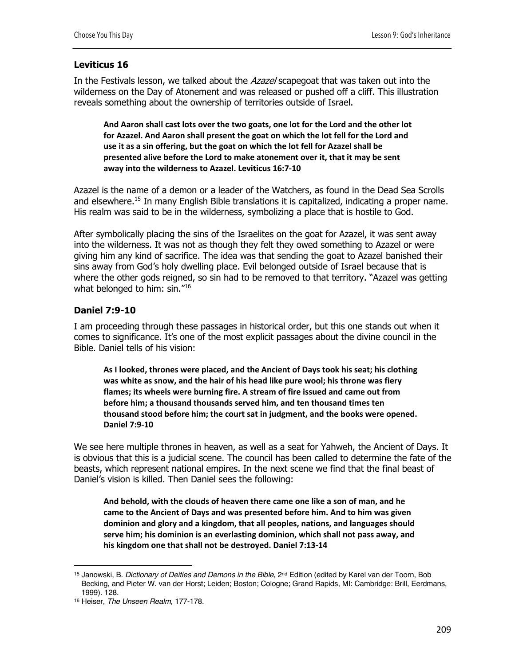## **Leviticus 16**

In the Festivals lesson, we talked about the Azazel scapegoat that was taken out into the wilderness on the Day of Atonement and was released or pushed off a cliff. This illustration reveals something about the ownership of territories outside of Israel.

**And Aaron shall cast lots over the two goats, one lot for the Lord and the other lot for Azazel. And Aaron shall present the goat on which the lot fell for the Lord and use it as a sin offering, but the goat on which the lot fell for Azazel shall be presented alive before the Lord to make atonement over it, that it may be sent away into the wilderness to Azazel. Leviticus 16:7-10**

Azazel is the name of a demon or a leader of the Watchers, as found in the Dead Sea Scrolls and elsewhere.<sup>15</sup> In many English Bible translations it is capitalized, indicating a proper name. His realm was said to be in the wilderness, symbolizing a place that is hostile to God.

After symbolically placing the sins of the Israelites on the goat for Azazel, it was sent away into the wilderness. It was not as though they felt they owed something to Azazel or were giving him any kind of sacrifice. The idea was that sending the goat to Azazel banished their sins away from God's holy dwelling place. Evil belonged outside of Israel because that is where the other gods reigned, so sin had to be removed to that territory. "Azazel was getting what belonged to him: sin."16

## **Daniel 7:9-10**

I am proceeding through these passages in historical order, but this one stands out when it comes to significance. It's one of the most explicit passages about the divine council in the Bible. Daniel tells of his vision:

**As I looked, thrones were placed, and the Ancient of Days took his seat; his clothing was white as snow, and the hair of his head like pure wool; his throne was fiery flames; its wheels were burning fire. A stream of fire issued and came out from before him; a thousand thousands served him, and ten thousand times ten thousand stood before him; the court sat in judgment, and the books were opened. Daniel 7:9-10**

We see here multiple thrones in heaven, as well as a seat for Yahweh, the Ancient of Days. It is obvious that this is a judicial scene. The council has been called to determine the fate of the beasts, which represent national empires. In the next scene we find that the final beast of Daniel's vision is killed. Then Daniel sees the following:

**And behold, with the clouds of heaven there came one like a son of man, and he came to the Ancient of Days and was presented before him. And to him was given dominion and glory and a kingdom, that all peoples, nations, and languages should serve him; his dominion is an everlasting dominion, which shall not pass away, and his kingdom one that shall not be destroyed. Daniel 7:13-14**

<sup>15</sup> Janowski, B. *Dictionary of Deities and Demons in the Bible*, 2nd Edition (edited by Karel van der Toorn, Bob Becking, and Pieter W. van der Horst; Leiden; Boston; Cologne; Grand Rapids, MI: Cambridge: Brill, Eerdmans, 1999). 128.

<sup>16</sup> Heiser, *The Unseen Realm,* 177-178.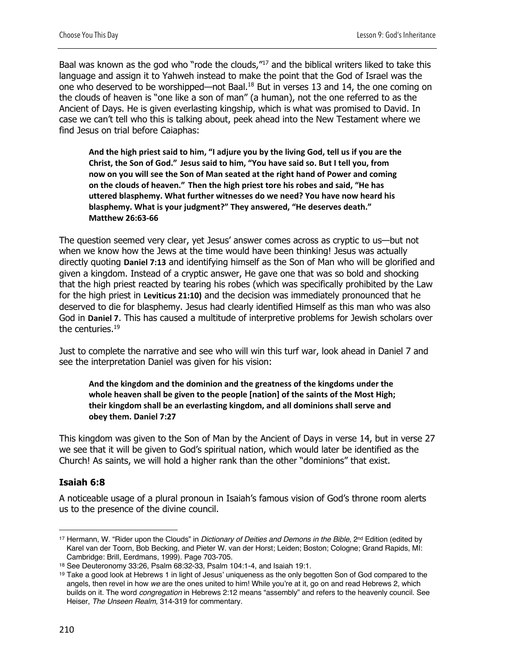Baal was known as the god who "rode the clouds,"<sup>17</sup> and the biblical writers liked to take this language and assign it to Yahweh instead to make the point that the God of Israel was the one who deserved to be worshipped—not Baal.18 But in verses 13 and 14, the one coming on the clouds of heaven is "one like a son of man" (a human), not the one referred to as the Ancient of Days. He is given everlasting kingship, which is what was promised to David. In case we can't tell who this is talking about, peek ahead into the New Testament where we find Jesus on trial before Caiaphas:

**And the high priest said to him, "I adjure you by the living God, tell us if you are the Christ, the Son of God." Jesus said to him, "You have said so. But I tell you, from now on you will see the Son of Man seated at the right hand of Power and coming on the clouds of heaven." Then the high priest tore his robes and said, "He has uttered blasphemy. What further witnesses do we need? You have now heard his blasphemy. What is your judgment?" They answered, "He deserves death." Matthew 26:63-66**

The question seemed very clear, yet Jesus' answer comes across as cryptic to us—but not when we know how the Jews at the time would have been thinking! Jesus was actually directly quoting **Daniel 7:13** and identifying himself as the Son of Man who will be glorified and given a kingdom. Instead of a cryptic answer, He gave one that was so bold and shocking that the high priest reacted by tearing his robes (which was specifically prohibited by the Law for the high priest in **Leviticus 21:10)** and the decision was immediately pronounced that he deserved to die for blasphemy. Jesus had clearly identified Himself as this man who was also God in **Daniel 7**. This has caused a multitude of interpretive problems for Jewish scholars over the centuries.<sup>19</sup>

Just to complete the narrative and see who will win this turf war, look ahead in Daniel 7 and see the interpretation Daniel was given for his vision:

**And the kingdom and the dominion and the greatness of the kingdoms under the whole heaven shall be given to the people [nation] of the saints of the Most High; their kingdom shall be an everlasting kingdom, and all dominions shall serve and obey them. Daniel 7:27**

This kingdom was given to the Son of Man by the Ancient of Days in verse 14, but in verse 27 we see that it will be given to God's spiritual nation, which would later be identified as the Church! As saints, we will hold a higher rank than the other "dominions" that exist.

#### **Isaiah 6:8**

A noticeable usage of a plural pronoun in Isaiah's famous vision of God's throne room alerts us to the presence of the divine council.

<sup>&</sup>lt;sup>17</sup> Hermann, W. "Rider upon the Clouds" in *Dictionary of Deities and Demons in the Bible*, 2<sup>nd</sup> Edition (edited by Karel van der Toorn, Bob Becking, and Pieter W. van der Horst; Leiden; Boston; Cologne; Grand Rapids, MI: Cambridge: Brill, Eerdmans, 1999). Page 703-705.

<sup>18</sup> See Deuteronomy 33:26, Psalm 68:32-33, Psalm 104:1-4, and Isaiah 19:1.

<sup>19</sup> Take a good look at Hebrews 1 in light of Jesus' uniqueness as the only begotten Son of God compared to the angels, then revel in how *we* are the ones united to him! While you're at it, go on and read Hebrews 2, which builds on it. The word *congregation* in Hebrews 2:12 means "assembly" and refers to the heavenly council. See Heiser, *The Unseen Realm,* 314-319 for commentary.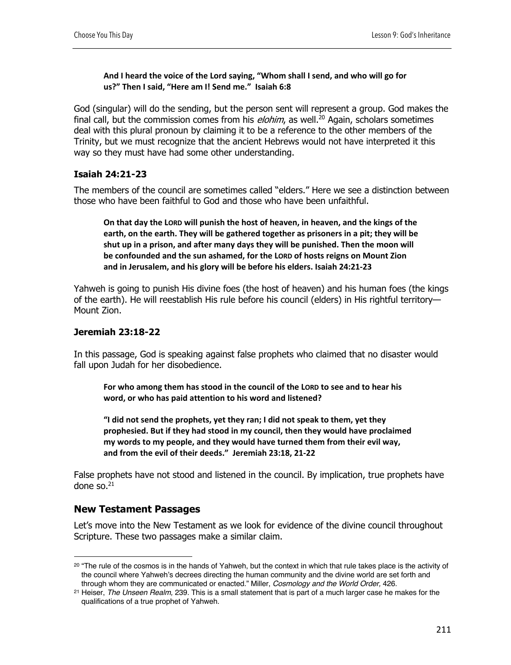#### **And I heard the voice of the Lord saying, "Whom shall I send, and who will go for us?" Then I said, "Here am I! Send me." Isaiah 6:8**

God (singular) will do the sending, but the person sent will represent a group. God makes the final call, but the commission comes from his  $elohim$ , as well.<sup>20</sup> Again, scholars sometimes deal with this plural pronoun by claiming it to be a reference to the other members of the Trinity, but we must recognize that the ancient Hebrews would not have interpreted it this way so they must have had some other understanding.

## **Isaiah 24:21-23**

The members of the council are sometimes called "elders." Here we see a distinction between those who have been faithful to God and those who have been unfaithful.

**On that day the LORD will punish the host of heaven, in heaven, and the kings of the earth, on the earth. They will be gathered together as prisoners in a pit; they will be shut up in a prison, and after many days they will be punished. Then the moon will be confounded and the sun ashamed, for the LORD of hosts reigns on Mount Zion and in Jerusalem, and his glory will be before his elders. Isaiah 24:21-23**

Yahweh is going to punish His divine foes (the host of heaven) and his human foes (the kings of the earth). He will reestablish His rule before his council (elders) in His rightful territory— Mount Zion.

### **Jeremiah 23:18-22**

In this passage, God is speaking against false prophets who claimed that no disaster would fall upon Judah for her disobedience.

**For who among them has stood in the council of the LORD to see and to hear his word, or who has paid attention to his word and listened?**

**"I did not send the prophets, yet they ran; I did not speak to them, yet they prophesied. But if they had stood in my council, then they would have proclaimed my words to my people, and they would have turned them from their evil way, and from the evil of their deeds." Jeremiah 23:18, 21-22**

False prophets have not stood and listened in the council. By implication, true prophets have done so. $21$ 

## **New Testament Passages**

Let's move into the New Testament as we look for evidence of the divine council throughout Scripture. These two passages make a similar claim.

<sup>&</sup>lt;sup>20</sup> "The rule of the cosmos is in the hands of Yahweh, but the context in which that rule takes place is the activity of the council where Yahweh's decrees directing the human community and the divine world are set forth and through whom they are communicated or enacted." Miller, *Cosmology and the World Order,* 426.

<sup>21</sup> Heiser, *The Unseen Realm,* 239. This is a small statement that is part of a much larger case he makes for the qualifications of a true prophet of Yahweh.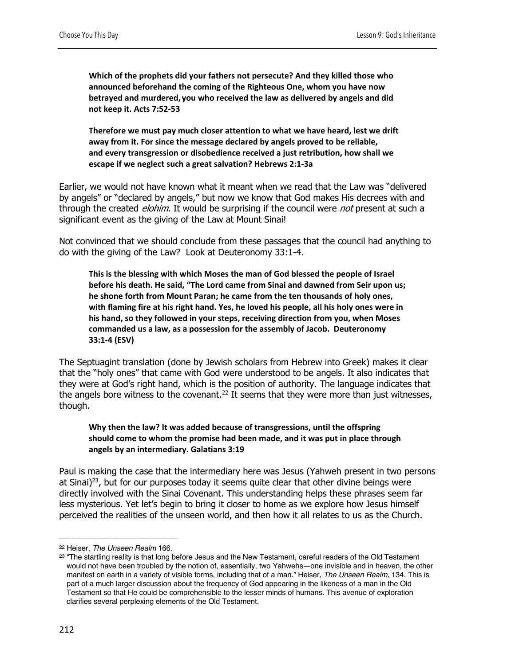**Which of the prophets did your fathers not persecute? And they killed those who announced beforehand the coming of the Righteous One, whom you have now betrayed and murdered, you who received the law as delivered by angels and did not keep it. Acts 7:52-53**

**Therefore we must pay much closer attention to what we have heard, lest we drift away from it. For since the message declared by angels proved to be reliable, and every transgression or disobedience received a just retribution, how shall we escape if we neglect such a great salvation? Hebrews 2:1-3a**

Earlier, we would not have known what it meant when we read that the Law was "delivered by angels" or "declared by angels," but now we know that God makes His decrees with and through the created *elohim*. It would be surprising if the council were *not* present at such a significant event as the giving of the Law at Mount Sinai!

Not convinced that we should conclude from these passages that the council had anything to do with the giving of the Law? Look at Deuteronomy 33:1-4.

**This is the blessing with which Moses the man of God blessed the people of Israel before his death. He said, "The Lord came from Sinai and dawned from Seir upon us; he shone forth from Mount Paran; he came from the ten thousands of holy ones, with flaming fire at his right hand. Yes, he loved his people, all his holy ones were in his hand, so they followed in your steps, receiving direction from you, when Moses commanded us a law, as a possession for the assembly of Jacob. Deuteronomy 33:1-4 (ESV)**

The Septuagint translation (done by Jewish scholars from Hebrew into Greek) makes it clear that the "holy ones" that came with God were understood to be angels. It also indicates that they were at God's right hand, which is the position of authority. The language indicates that the angels bore witness to the covenant.<sup>22</sup> It seems that they were more than just witnesses, though.

#### **Why then the law? It was added because of transgressions, until the offspring should come to whom the promise had been made, and it was put in place through angels by an intermediary. Galatians 3:19**

Paul is making the case that the intermediary here was Jesus (Yahweh present in two persons at Sinai)<sup>23</sup>, but for our purposes today it seems quite clear that other divine beings were directly involved with the Sinai Covenant. This understanding helps these phrases seem far less mysterious. Yet let's begin to bring it closer to home as we explore how Jesus himself perceived the realities of the unseen world, and then how it all relates to us as the Church.

<sup>22</sup> Heiser, *The Unseen Realm* 166.

<sup>&</sup>lt;sup>23</sup> "The startling reality is that long before Jesus and the New Testament, careful readers of the Old Testament would not have been troubled by the notion of, essentially, two Yahwehs—one invisible and in heaven, the other manifest on earth in a variety of visible forms, including that of a man." Heiser, *The Unseen Realm,* 134. This is part of a much larger discussion about the frequency of God appearing in the likeness of a man in the Old Testament so that He could be comprehensible to the lesser minds of humans. This avenue of exploration clarifies several perplexing elements of the Old Testament.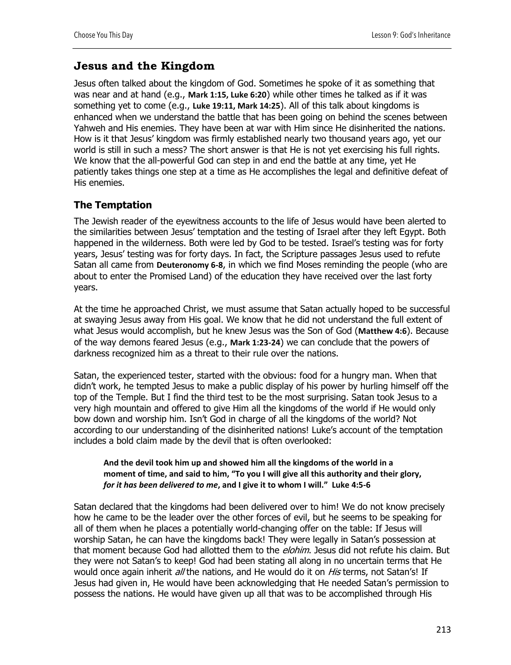## **Jesus and the Kingdom**

Jesus often talked about the kingdom of God. Sometimes he spoke of it as something that was near and at hand (e.g., **Mark 1:15, Luke 6:20**) while other times he talked as if it was something yet to come (e.g., **Luke 19:11, Mark 14:25**). All of this talk about kingdoms is enhanced when we understand the battle that has been going on behind the scenes between Yahweh and His enemies. They have been at war with Him since He disinherited the nations. How is it that Jesus' kingdom was firmly established nearly two thousand years ago, yet our world is still in such a mess? The short answer is that He is not yet exercising his full rights. We know that the all-powerful God can step in and end the battle at any time, yet He patiently takes things one step at a time as He accomplishes the legal and definitive defeat of His enemies.

## **The Temptation**

The Jewish reader of the eyewitness accounts to the life of Jesus would have been alerted to the similarities between Jesus' temptation and the testing of Israel after they left Egypt. Both happened in the wilderness. Both were led by God to be tested. Israel's testing was for forty years, Jesus' testing was for forty days. In fact, the Scripture passages Jesus used to refute Satan all came from **Deuteronomy 6-8**, in which we find Moses reminding the people (who are about to enter the Promised Land) of the education they have received over the last forty years.

At the time he approached Christ, we must assume that Satan actually hoped to be successful at swaying Jesus away from His goal. We know that he did not understand the full extent of what Jesus would accomplish, but he knew Jesus was the Son of God (**Matthew 4:6**). Because of the way demons feared Jesus (e.g., **Mark 1:23-24**) we can conclude that the powers of darkness recognized him as a threat to their rule over the nations.

Satan, the experienced tester, started with the obvious: food for a hungry man. When that didn't work, he tempted Jesus to make a public display of his power by hurling himself off the top of the Temple. But I find the third test to be the most surprising. Satan took Jesus to a very high mountain and offered to give Him all the kingdoms of the world if He would only bow down and worship him. Isn't God in charge of all the kingdoms of the world? Not according to our understanding of the disinherited nations! Luke's account of the temptation includes a bold claim made by the devil that is often overlooked:

#### **And the devil took him up and showed him all the kingdoms of the world in a moment of time, and said to him, "To you I will give all this authority and their glory,**  *for it has been delivered to me***, and I give it to whom I will." Luke 4:5-6**

Satan declared that the kingdoms had been delivered over to him! We do not know precisely how he came to be the leader over the other forces of evil, but he seems to be speaking for all of them when he places a potentially world-changing offer on the table: If Jesus will worship Satan, he can have the kingdoms back! They were legally in Satan's possession at that moment because God had allotted them to the *elohim*. Jesus did not refute his claim. But they were not Satan's to keep! God had been stating all along in no uncertain terms that He would once again inherit all the nations, and He would do it on His terms, not Satan's! If Jesus had given in, He would have been acknowledging that He needed Satan's permission to possess the nations. He would have given up all that was to be accomplished through His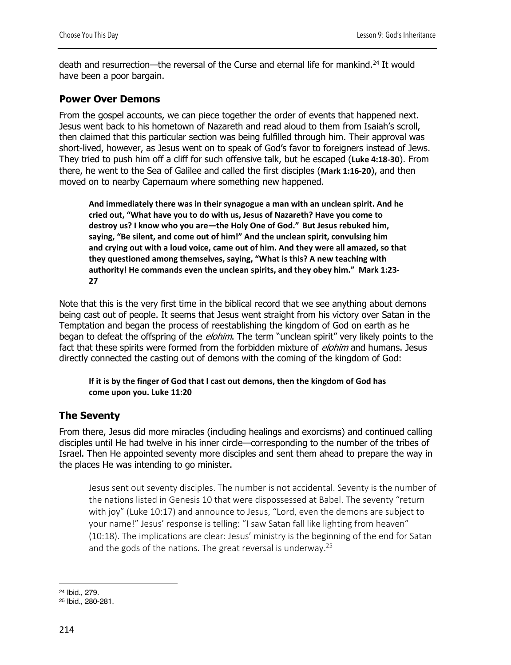death and resurrection—the reversal of the Curse and eternal life for mankind.<sup>24</sup> It would have been a poor bargain.

## **Power Over Demons**

From the gospel accounts, we can piece together the order of events that happened next. Jesus went back to his hometown of Nazareth and read aloud to them from Isaiah's scroll, then claimed that this particular section was being fulfilled through him. Their approval was short-lived, however, as Jesus went on to speak of God's favor to foreigners instead of Jews. They tried to push him off a cliff for such offensive talk, but he escaped (**Luke 4:18-30**). From there, he went to the Sea of Galilee and called the first disciples (**Mark 1:16-20**), and then moved on to nearby Capernaum where something new happened.

**And immediately there was in their synagogue a man with an unclean spirit. And he cried out, "What have you to do with us, Jesus of Nazareth? Have you come to destroy us? I know who you are—the Holy One of God." But Jesus rebuked him, saying, "Be silent, and come out of him!" And the unclean spirit, convulsing him and crying out with a loud voice, came out of him. And they were all amazed, so that they questioned among themselves, saying, "What is this? A new teaching with authority! He commands even the unclean spirits, and they obey him." Mark 1:23- 27**

Note that this is the very first time in the biblical record that we see anything about demons being cast out of people. It seems that Jesus went straight from his victory over Satan in the Temptation and began the process of reestablishing the kingdom of God on earth as he began to defeat the offspring of the *elohim*. The term "unclean spirit" very likely points to the fact that these spirits were formed from the forbidden mixture of *elohim* and humans. Jesus directly connected the casting out of demons with the coming of the kingdom of God:

**If it is by the finger of God that I cast out demons, then the kingdom of God has come upon you. Luke 11:20**

## **The Seventy**

From there, Jesus did more miracles (including healings and exorcisms) and continued calling disciples until He had twelve in his inner circle—corresponding to the number of the tribes of Israel. Then He appointed seventy more disciples and sent them ahead to prepare the way in the places He was intending to go minister.

Jesus sent out seventy disciples. The number is not accidental. Seventy is the number of the nations listed in Genesis 10 that were dispossessed at Babel. The seventy "return with joy" (Luke 10:17) and announce to Jesus, "Lord, even the demons are subject to your name!" Jesus' response is telling: "I saw Satan fall like lighting from heaven" (10:18). The implications are clear: Jesus' ministry is the beginning of the end for Satan and the gods of the nations. The great reversal is underway.<sup>25</sup>

<sup>24</sup> Ibid., 279.

<sup>25</sup> Ibid., 280-281.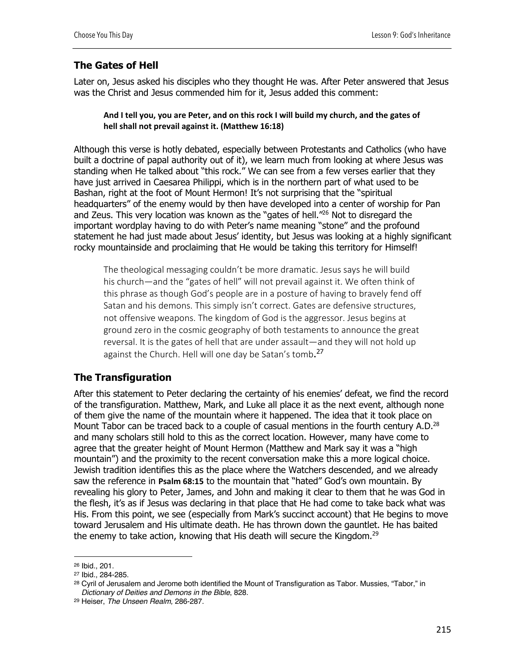## **The Gates of Hell**

Later on, Jesus asked his disciples who they thought He was. After Peter answered that Jesus was the Christ and Jesus commended him for it, Jesus added this comment:

#### **And I tell you, you are Peter, and on this rock I will build my church, and the gates of hell shall not prevail against it. (Matthew 16:18)**

Although this verse is hotly debated, especially between Protestants and Catholics (who have built a doctrine of papal authority out of it), we learn much from looking at where Jesus was standing when He talked about "this rock." We can see from a few verses earlier that they have just arrived in Caesarea Philippi, which is in the northern part of what used to be Bashan, right at the foot of Mount Hermon! It's not surprising that the "spiritual headquarters" of the enemy would by then have developed into a center of worship for Pan and Zeus. This very location was known as the "gates of hell."26 Not to disregard the important wordplay having to do with Peter's name meaning "stone" and the profound statement he had just made about Jesus' identity, but Jesus was looking at a highly significant rocky mountainside and proclaiming that He would be taking this territory for Himself!

The theological messaging couldn't be more dramatic. Jesus says he will build his church—and the "gates of hell" will not prevail against it. We often think of this phrase as though God's people are in a posture of having to bravely fend off Satan and his demons. This simply isn't correct. Gates are defensive structures, not offensive weapons. The kingdom of God is the aggressor. Jesus begins at ground zero in the cosmic geography of both testaments to announce the great reversal. It is the gates of hell that are under assault—and they will not hold up against the Church. Hell will one day be Satan's tomb.<sup>27</sup>

## **The Transfiguration**

After this statement to Peter declaring the certainty of his enemies' defeat, we find the record of the transfiguration. Matthew, Mark, and Luke all place it as the next event, although none of them give the name of the mountain where it happened. The idea that it took place on Mount Tabor can be traced back to a couple of casual mentions in the fourth century A.D.<sup>28</sup> and many scholars still hold to this as the correct location. However, many have come to agree that the greater height of Mount Hermon (Matthew and Mark say it was a "high mountain") and the proximity to the recent conversation make this a more logical choice. Jewish tradition identifies this as the place where the Watchers descended, and we already saw the reference in **Psalm 68:15** to the mountain that "hated" God's own mountain. By revealing his glory to Peter, James, and John and making it clear to them that he was God in the flesh, it's as if Jesus was declaring in that place that He had come to take back what was His. From this point, we see (especially from Mark's succinct account) that He begins to move toward Jerusalem and His ultimate death. He has thrown down the gauntlet. He has baited the enemy to take action, knowing that His death will secure the Kingdom.29

<sup>26</sup> Ibid., 201.

<sup>27</sup> Ibid., 284-285.

<sup>&</sup>lt;sup>28</sup> Cyril of Jerusalem and Jerome both identified the Mount of Transfiguration as Tabor. Mussies, "Tabor," in *Dictionary of Deities and Demons in the Bible*, 828.

<sup>29</sup> Heiser, *The Unseen Realm,* 286-287.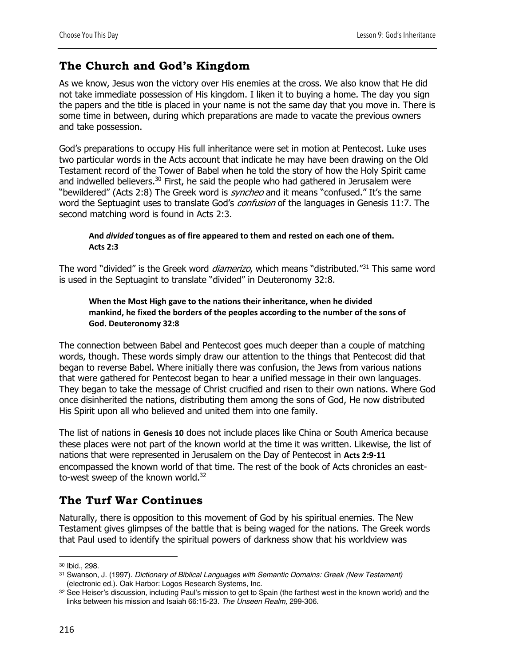# **The Church and God's Kingdom**

As we know, Jesus won the victory over His enemies at the cross. We also know that He did not take immediate possession of His kingdom. I liken it to buying a home. The day you sign the papers and the title is placed in your name is not the same day that you move in. There is some time in between, during which preparations are made to vacate the previous owners and take possession.

God's preparations to occupy His full inheritance were set in motion at Pentecost. Luke uses two particular words in the Acts account that indicate he may have been drawing on the Old Testament record of the Tower of Babel when he told the story of how the Holy Spirit came and indwelled believers.<sup>30</sup> First, he said the people who had gathered in Jerusalem were "bewildered" (Acts 2:8) The Greek word is *syncheo* and it means "confused." It's the same word the Septuagint uses to translate God's *confusion* of the languages in Genesis 11:7. The second matching word is found in Acts 2:3.

#### **And** *divided* **tongues as of fire appeared to them and rested on each one of them. Acts 2:3**

The word "divided" is the Greek word *diamerizo*, which means "distributed."<sup>31</sup> This same word is used in the Septuagint to translate "divided" in Deuteronomy 32:8.

#### **When the Most High gave to the nations their inheritance, when he divided mankind, he fixed the borders of the peoples according to the number of the sons of God. Deuteronomy 32:8**

The connection between Babel and Pentecost goes much deeper than a couple of matching words, though. These words simply draw our attention to the things that Pentecost did that began to reverse Babel. Where initially there was confusion, the Jews from various nations that were gathered for Pentecost began to hear a unified message in their own languages. They began to take the message of Christ crucified and risen to their own nations. Where God once disinherited the nations, distributing them among the sons of God, He now distributed His Spirit upon all who believed and united them into one family.

The list of nations in **Genesis 10** does not include places like China or South America because these places were not part of the known world at the time it was written. Likewise, the list of nations that were represented in Jerusalem on the Day of Pentecost in **Acts 2:9-11** encompassed the known world of that time. The rest of the book of Acts chronicles an eastto-west sweep of the known world.<sup>32</sup>

# **The Turf War Continues**

Naturally, there is opposition to this movement of God by his spiritual enemies. The New Testament gives glimpses of the battle that is being waged for the nations. The Greek words that Paul used to identify the spiritual powers of darkness show that his worldview was

<sup>30</sup> Ibid., 298.

<sup>31</sup> Swanson, J. (1997). *Dictionary of Biblical Languages with Semantic Domains: Greek (New Testament)* (electronic ed.). Oak Harbor: Logos Research Systems, Inc.

<sup>32</sup> See Heiser's discussion, including Paul's mission to get to Spain (the farthest west in the known world) and the links between his mission and Isaiah 66:15-23. *The Unseen Realm,* 299-306.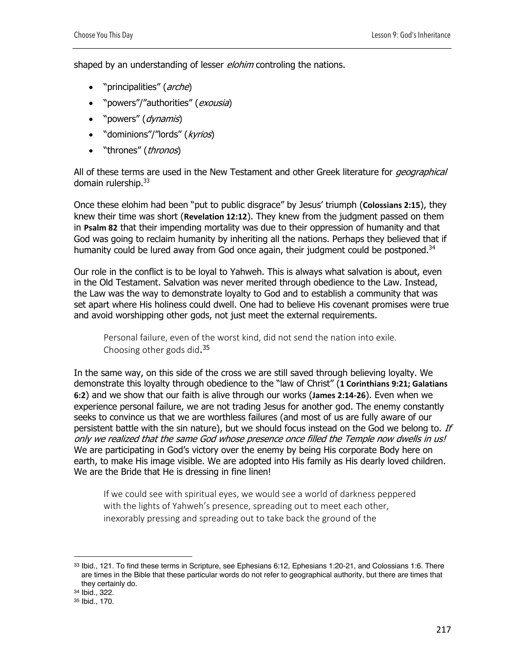shaped by an understanding of lesser *elohim* controling the nations.

- "principalities" (arche)
- "powers"/"authorities" (*exousia*)
- "powers" (*dynamis*)
- "dominions"/"lords" (kyrios)
- "thrones" (*thronos*)

All of these terms are used in the New Testament and other Greek literature for *geographical* domain rulership.33

Once these elohim had been "put to public disgrace" by Jesus' triumph (**Colossians 2:15**), they knew their time was short (**Revelation 12:12**). They knew from the judgment passed on them in **Psalm 82** that their impending mortality was due to their oppression of humanity and that God was going to reclaim humanity by inheriting all the nations. Perhaps they believed that if humanity could be lured away from God once again, their judgment could be postponed.<sup>34</sup>

Our role in the conflict is to be loyal to Yahweh. This is always what salvation is about, even in the Old Testament. Salvation was never merited through obedience to the Law. Instead, the Law was the way to demonstrate loyalty to God and to establish a community that was set apart where His holiness could dwell. One had to believe His covenant promises were true and avoid worshipping other gods, not just meet the external requirements.

Personal failure, even of the worst kind, did not send the nation into exile. Choosing other gods did.<sup>35</sup>

In the same way, on this side of the cross we are still saved through believing loyalty. We demonstrate this loyalty through obedience to the "law of Christ" (**1 Corinthians 9:21; Galatians 6:2**) and we show that our faith is alive through our works (**James 2:14-26**). Even when we experience personal failure, we are not trading Jesus for another god. The enemy constantly seeks to convince us that we are worthless failures (and most of us are fully aware of our persistent battle with the sin nature), but we should focus instead on the God we belong to. If only we realized that the same God whose presence once filled the Temple now dwells in us! We are participating in God's victory over the enemy by being His corporate Body here on earth, to make His image visible. We are adopted into His family as His dearly loved children. We are the Bride that He is dressing in fine linen!

If we could see with spiritual eyes, we would see a world of darkness peppered with the lights of Yahweh's presence, spreading out to meet each other, inexorably pressing and spreading out to take back the ground of the

<sup>33</sup> Ibid., 121. To find these terms in Scripture, see Ephesians 6:12, Ephesians 1:20-21, and Colossians 1:6. There are times in the Bible that these particular words do not refer to geographical authority, but there are times that they certainly do.

<sup>34</sup> Ibid., 322.

<sup>35</sup> Ibid., 170.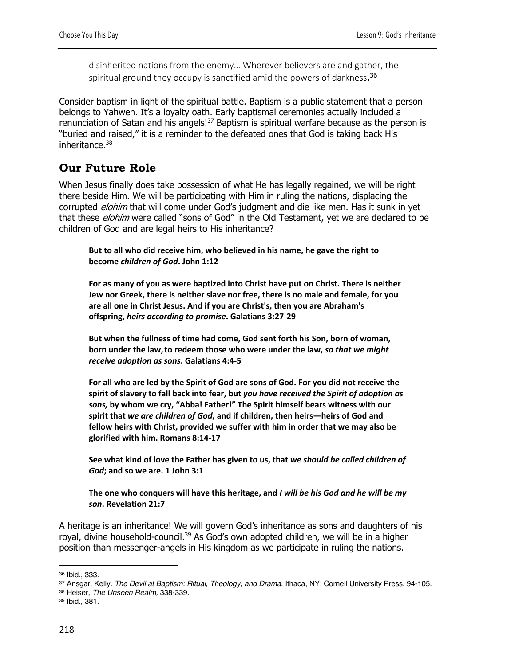disinherited nations from the enemy… Wherever believers are and gather, the spiritual ground they occupy is sanctified amid the powers of darkness. 36

Consider baptism in light of the spiritual battle. Baptism is a public statement that a person belongs to Yahweh. It's a loyalty oath. Early baptismal ceremonies actually included a renunciation of Satan and his angels!<sup>37</sup> Baptism is spiritual warfare because as the person is "buried and raised," it is a reminder to the defeated ones that God is taking back His inheritance. $38$ 

## **Our Future Role**

When Jesus finally does take possession of what He has legally regained, we will be right there beside Him. We will be participating with Him in ruling the nations, displacing the corrupted *elohim* that will come under God's judgment and die like men. Has it sunk in yet that these *elohim* were called "sons of God" in the Old Testament, yet we are declared to be children of God and are legal heirs to His inheritance?

**But to all who did receive him, who believed in his name, he gave the right to become** *children of God***. John 1:12**

**For as many of you as were baptized into Christ have put on Christ. There is neither Jew nor Greek, there is neither slave nor free, there is no male and female, for you are all one in Christ Jesus. And if you are Christ's, then you are Abraham's offspring,** *heirs according to promise***. Galatians 3:27-29**

**But when the fullness of time had come, God sent forth his Son, born of woman, born under the law,to redeem those who were under the law,** *so that we might receive adoption as sons***. Galatians 4:4-5**

**For all who are led by the Spirit of God are sons of God. For you did not receive the spirit of slavery to fall back into fear, but** *you have received the Spirit of adoption as sons,* **by whom we cry, "Abba! Father!" The Spirit himself bears witness with our spirit that** *we are children of God***, and if children, then heirs—heirs of God and fellow heirs with Christ, provided we suffer with him in order that we may also be glorified with him. Romans 8:14-17**

**See what kind of love the Father has given to us, that** *we should be called children of God***; and so we are. 1 John 3:1**

**The one who conquers will have this heritage, and** *I will be his God and he will be my son***. Revelation 21:7**

A heritage is an inheritance! We will govern God's inheritance as sons and daughters of his royal, divine household-council.<sup>39</sup> As God's own adopted children, we will be in a higher position than messenger-angels in His kingdom as we participate in ruling the nations.

<sup>38</sup> Heiser, *The Unseen Realm,* 338-339.

<sup>36</sup> Ibid., 333.

<sup>37</sup> Ansgar, Kelly. *The Devil at Baptism: Ritual, Theology, and Drama*. Ithaca, NY: Cornell University Press. 94-105.

<sup>39</sup> Ibid., 381.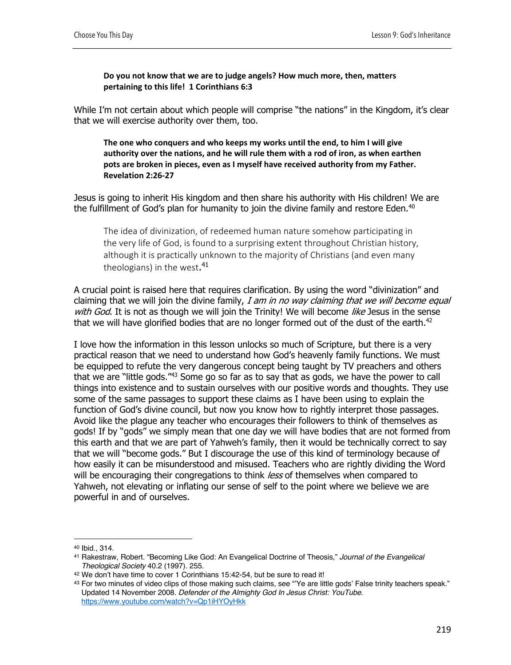**Do you not know that we are to judge angels? How much more, then, matters pertaining to this life! 1 Corinthians 6:3**

While I'm not certain about which people will comprise "the nations" in the Kingdom, it's clear that we will exercise authority over them, too.

**The one who conquers and who keeps my works until the end, to him I will give authority over the nations, and he will rule them with a rod of iron, as when earthen pots are broken in pieces, even as I myself have received authority from my Father. Revelation 2:26-27**

Jesus is going to inherit His kingdom and then share his authority with His children! We are the fulfillment of God's plan for humanity to join the divine family and restore Eden.<sup>40</sup>

The idea of divinization, of redeemed human nature somehow participating in the very life of God, is found to a surprising extent throughout Christian history, although it is practically unknown to the majority of Christians (and even many theologians) in the west. 41

A crucial point is raised here that requires clarification. By using the word "divinization" and claiming that we will join the divine family, I am in no way claiming that we will become equal with God. It is not as though we will join the Trinity! We will become like Jesus in the sense that we will have glorified bodies that are no longer formed out of the dust of the earth.<sup>42</sup>

I love how the information in this lesson unlocks so much of Scripture, but there is a very practical reason that we need to understand how God's heavenly family functions. We must be equipped to refute the very dangerous concept being taught by TV preachers and others that we are "little gods."43 Some go so far as to say that as gods, we have the power to call things into existence and to sustain ourselves with our positive words and thoughts. They use some of the same passages to support these claims as I have been using to explain the function of God's divine council, but now you know how to rightly interpret those passages. Avoid like the plague any teacher who encourages their followers to think of themselves as gods! If by "gods" we simply mean that one day we will have bodies that are not formed from this earth and that we are part of Yahweh's family, then it would be technically correct to say that we will "become gods." But I discourage the use of this kind of terminology because of how easily it can be misunderstood and misused. Teachers who are rightly dividing the Word will be encouraging their congregations to think *less* of themselves when compared to Yahweh, not elevating or inflating our sense of self to the point where we believe we are powerful in and of ourselves.

<sup>40</sup> Ibid., 314.

<sup>41</sup> Rakestraw, Robert. "Becoming Like God: An Evangelical Doctrine of Theosis," *Journal of the Evangelical Theological Society* 40.2 (1997). 255. 42 We don't have time to cover 1 Corinthians 15:42-54, but be sure to read it!

<sup>43</sup> For two minutes of video clips of those making such claims, see "Ye are little gods' False trinity teachers speak." Updated 14 November 2008. *Defender of the Almighty God In Jesus Christ: YouTube*. https://www.youtube.com/watch?v=Qp1iHYOyHkk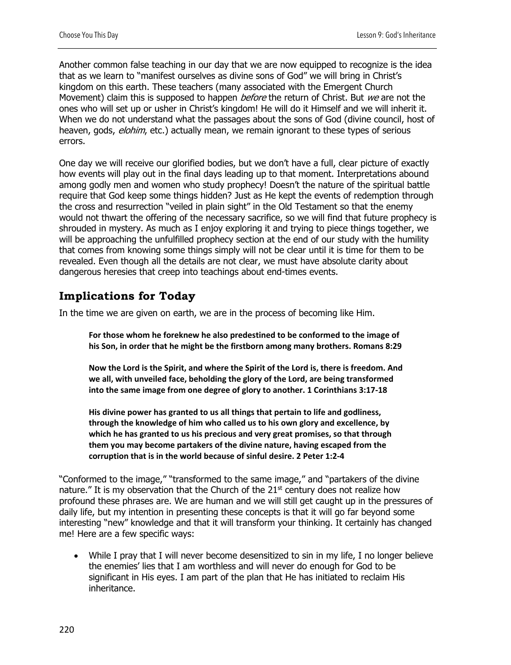Another common false teaching in our day that we are now equipped to recognize is the idea that as we learn to "manifest ourselves as divine sons of God" we will bring in Christ's kingdom on this earth. These teachers (many associated with the Emergent Church Movement) claim this is supposed to happen *before* the return of Christ. But we are not the ones who will set up or usher in Christ's kingdom! He will do it Himself and we will inherit it. When we do not understand what the passages about the sons of God (divine council, host of heaven, gods, *elohim*, etc.) actually mean, we remain ignorant to these types of serious errors.

One day we will receive our glorified bodies, but we don't have a full, clear picture of exactly how events will play out in the final days leading up to that moment. Interpretations abound among godly men and women who study prophecy! Doesn't the nature of the spiritual battle require that God keep some things hidden? Just as He kept the events of redemption through the cross and resurrection "veiled in plain sight" in the Old Testament so that the enemy would not thwart the offering of the necessary sacrifice, so we will find that future prophecy is shrouded in mystery. As much as I enjoy exploring it and trying to piece things together, we will be approaching the unfulfilled prophecy section at the end of our study with the humility that comes from knowing some things simply will not be clear until it is time for them to be revealed. Even though all the details are not clear, we must have absolute clarity about dangerous heresies that creep into teachings about end-times events.

# **Implications for Today**

In the time we are given on earth, we are in the process of becoming like Him.

**For those whom he foreknew he also predestined to be conformed to the image of his Son, in order that he might be the firstborn among many brothers. Romans 8:29**

**Now the Lord is the Spirit, and where the Spirit of the Lord is, there is freedom. And we all, with unveiled face, beholding the glory of the Lord, are being transformed into the same image from one degree of glory to another. 1 Corinthians 3:17-18**

**His divine power has granted to us all things that pertain to life and godliness, through the knowledge of him who called us to his own glory and excellence, by which he has granted to us his precious and very great promises, so that through them you may become partakers of the divine nature, having escaped from the corruption that is in the world because of sinful desire. 2 Peter 1:2-4**

"Conformed to the image," "transformed to the same image," and "partakers of the divine nature." It is my observation that the Church of the  $21<sup>st</sup>$  century does not realize how profound these phrases are. We are human and we will still get caught up in the pressures of daily life, but my intention in presenting these concepts is that it will go far beyond some interesting "new" knowledge and that it will transform your thinking. It certainly has changed me! Here are a few specific ways:

While I pray that I will never become desensitized to sin in my life, I no longer believe the enemies' lies that I am worthless and will never do enough for God to be significant in His eyes. I am part of the plan that He has initiated to reclaim His inheritance.